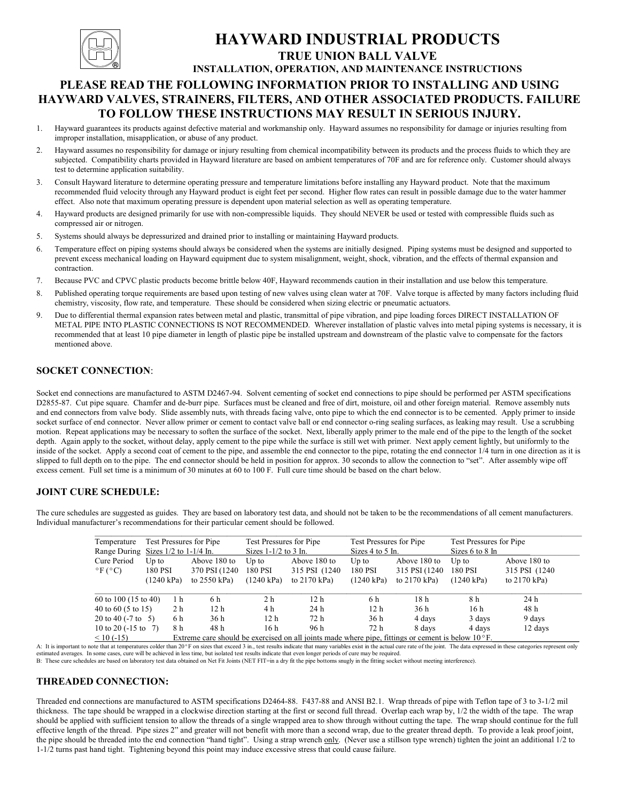

# HAYWARD INDUSTRIAL PRODUCTS

#### TRUE UNION BALL VALVE

## INSTALLATION, OPERATION, AND MAINTENANCE INSTRUCTIONS PLEASE READ THE FOLLOWING INFORMATION PRIOR TO INSTALLING AND USING

## HAYWARD VALVES, STRAINERS, FILTERS, AND OTHER ASSOCIATED PRODUCTS. FAILURE TO FOLLOW THESE INSTRUCTIONS MAY RESULT IN SERIOUS INJURY.

- 1. Hayward guarantees its products against defective material and workmanship only. Hayward assumes no responsibility for damage or injuries resulting from improper installation, misapplication, or abuse of any product.
- 2. Hayward assumes no responsibility for damage or injury resulting from chemical incompatibility between its products and the process fluids to which they are subjected. Compatibility charts provided in Hayward literature are based on ambient temperatures of 70F and are for reference only. Customer should always test to determine application suitability.
- 3. Consult Hayward literature to determine operating pressure and temperature limitations before installing any Hayward product. Note that the maximum recommended fluid velocity through any Hayward product is eight feet per second. Higher flow rates can result in possible damage due to the water hammer effect. Also note that maximum operating pressure is dependent upon material selection as well as operating temperature.
- 4. Hayward products are designed primarily for use with non-compressible liquids. They should NEVER be used or tested with compressible fluids such as compressed air or nitrogen.
- 5. Systems should always be depressurized and drained prior to installing or maintaining Hayward products.
- 6. Temperature effect on piping systems should always be considered when the systems are initially designed. Piping systems must be designed and supported to prevent excess mechanical loading on Hayward equipment due to system misalignment, weight, shock, vibration, and the effects of thermal expansion and contraction.
- 7. Because PVC and CPVC plastic products become brittle below 40F, Hayward recommends caution in their installation and use below this temperature.
- 8. Published operating torque requirements are based upon testing of new valves using clean water at 70F. Valve torque is affected by many factors including fluid chemistry, viscosity, flow rate, and temperature. These should be considered when sizing electric or pneumatic actuators.
- 9. Due to differential thermal expansion rates between metal and plastic, transmittal of pipe vibration, and pipe loading forces DIRECT INSTALLATION OF METAL PIPE INTO PLASTIC CONNECTIONS IS NOT RECOMMENDED. Wherever installation of plastic valves into metal piping systems is necessary, it is recommended that at least 10 pipe diameter in length of plastic pipe be installed upstream and downstream of the plastic valve to compensate for the factors mentioned above.

### SOCKET CONNECTION:

Socket end connections are manufactured to ASTM D2467-94. Solvent cementing of socket end connections to pipe should be performed per ASTM specifications D2855-87. Cut pipe square. Chamfer and de-burr pipe. Surfaces must be cleaned and free of dirt, moisture, oil and other foreign material. Remove assembly nuts and end connectors from valve body. Slide assembly nuts, with threads facing valve, onto pipe to which the end connector is to be cemented. Apply primer to inside socket surface of end connector. Never allow primer or cement to contact valve ball or end connector o-ring sealing surfaces, as leaking may result. Use a scrubbing motion. Repeat applications may be necessary to soften the surface of the socket. Next, liberally apply primer to the male end of the pipe to the length of the socket depth. Again apply to the socket, without delay, apply cement to the pipe while the surface is still wet with primer. Next apply cement lightly, but uniformly to the inside of the socket. Apply a second coat of cement to the pipe, and assemble the end connector to the pipe, rotating the end connector 1/4 turn in one direction as it is slipped to full depth on to the pipe. The end connector should be held in position for approx. 30 seconds to allow the connection to "set". After assembly wipe off excess cement. Full set time is a minimum of 30 minutes at 60 to 100 F. Full cure time should be based on the chart below.

### JOINT CURE SCHEDULE:

The cure schedules are suggested as guides. They are based on laboratory test data, and should not be taken to be the recommendations of all cement manufacturers. Individual manufacturer's recommendations for their particular cement should be followed.

| Temperature                         |            |                | Test Pressures for Pipe | Test Pressures for Pipe |                                                                                                           | Test Pressures for Pipe |                | Test Pressures for Pipe |                |
|-------------------------------------|------------|----------------|-------------------------|-------------------------|-----------------------------------------------------------------------------------------------------------|-------------------------|----------------|-------------------------|----------------|
| Range During Sizes 1/2 to 1-1/4 In. |            |                |                         | Sizes $1-1/2$ to 3 In.  |                                                                                                           | Sizes 4 to 5 In.        |                | Sizes 6 to 8 In         |                |
| Cure Period                         | Up to      |                | Above 180 to            | Up to                   | Above 180 to                                                                                              | $Up$ to                 | Above 180 to   | Up to                   | Above 180 to   |
| $\circ$ F( $\circ$ C)               | 180 PSI    |                | 370 PSI (1240)          | 180 PSI                 | 315 PSI (1240)                                                                                            | 180 PSI                 | 315 PSI (1240) | 180 PSI                 | 315 PSI (1240) |
|                                     | (1240 kPa) |                | to $2550$ kPa)          | $(1240 \text{ kPa})$    | to $2170$ kPa)                                                                                            | $(1240 \text{ kPa})$    | to $2170$ kPa) | $(1240 \text{ kPa})$    | to $2170$ kPa) |
| 60 to 100 $(15 \text{ to } 40)$     |            | 1 h            | 6 h                     | 2 <sub>h</sub>          | 12 <sub>h</sub>                                                                                           | 6 h                     | 18 h           | 8 h                     | 24 h           |
| 40 to 60 $(5 \text{ to } 15)$       |            | 2 <sub>h</sub> | 12 h                    | 4 h                     | 24h                                                                                                       | 12 <sub>h</sub>         | 36h            | 16h                     | 48 h           |
| 20 to 40 $(-7)$ to 5)               |            | 6 h            | 36h                     | 12 <sub>h</sub>         | 72 h                                                                                                      | 36h                     | 4 days         | 3 days                  | 9 days         |
| 10 to 20 $(-15 \text{ to } 7)$      |            | 8 h            | 48 h                    | 16 h                    | 96 h                                                                                                      | 72 h                    | 8 days         | 4 days                  | 12 days        |
| $\geq 10(15)$                       |            |                |                         |                         | Extreme care should be everyoned on all joints made where nine fittings or coment is below $10^{\circ}$ F |                         |                |                         |                |

 $\leq$  10 (-15) Extreme care should be exercised on all joints made where pipe, fittings or cement is below 10°F.<br>A: It is important to note that at temperatures colder than 20°F on sizes that exceed 3 in., test results in estimated averages. In some cases, cure will be achieved in less time, but isolated test results indicate that even longer periods of cure may be required.

B: These cure schedules are based on laboratory test data obtained on Net Fit Joints (NET FIT=in a dry fit the pipe bottoms snugly in the fitting socket without meeting interference).

### THREADED CONNECTION:

Threaded end connections are manufactured to ASTM specifications D2464-88. F437-88 and ANSI B2.1. Wrap threads of pipe with Teflon tape of 3 to 3-1/2 mil thickness. The tape should be wrapped in a clockwise direction starting at the first or second full thread. Overlap each wrap by, 1/2 the width of the tape. The wrap should be applied with sufficient tension to allow the threads of a single wrapped area to show through without cutting the tape. The wrap should continue for the full effective length of the thread. Pipe sizes 2" and greater will not benefit with more than a second wrap, due to the greater thread depth. To provide a leak proof joint, the pipe should be threaded into the end connection "hand tight". Using a strap wrench only. (Never use a stillson type wrench) tighten the joint an additional 1/2 to 1-1/2 turns past hand tight. Tightening beyond this point may induce excessive stress that could cause failure.